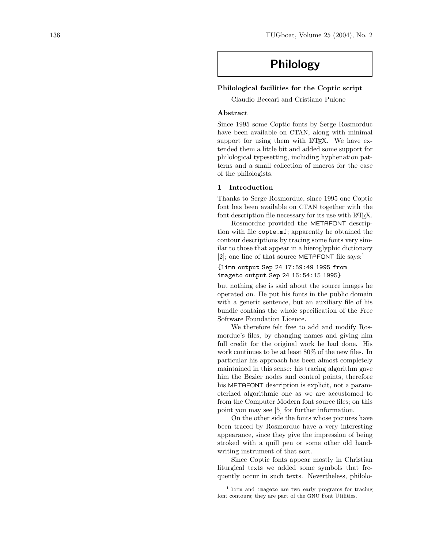# Philology

#### Philological facilities for the Coptic script

Claudio Beccari and Cristiano Pulone

# Abstract

Since 1995 some Coptic fonts by Serge Rosmorduc have been available on CTAN, along with minimal support for using them with LAT<sub>EX</sub>. We have extended them a little bit and added some support for philological typesetting, including hyphenation patterns and a small collection of macros for the ease of the philologists.

# 1 Introduction

Thanks to Serge Rosmorduc, since 1995 one Coptic font has been available on CTAN together with the font description file necessary for its use with LAT<sub>EX</sub>.

Rosmorduc provided the METAFONT description with file copte.mf; apparently he obtained the contour descriptions by tracing some fonts very similar to those that appear in a hieroglyphic dictionary [2]; one line of that source METAFONT file says:<sup>1</sup>

{limn output Sep 24 17:59:49 1995 from imageto output Sep 24 16:54:15 1995}

but nothing else is said about the source images he operated on. He put his fonts in the public domain with a generic sentence, but an auxiliary file of his bundle contains the whole specification of the Free Software Foundation Licence.

We therefore felt free to add and modify Rosmorduc's files, by changing names and giving him full credit for the original work he had done. His work continues to be at least 80% of the new files. In particular his approach has been almost completely maintained in this sense: his tracing algorithm gave him the Bezier nodes and control points, therefore his METAFONT description is explicit, not a parameterized algorithmic one as we are accustomed to from the Computer Modern font source files; on this point you may see [5] for further information.

On the other side the fonts whose pictures have been traced by Rosmorduc have a very interesting appearance, since they give the impression of being stroked with a quill pen or some other old handwriting instrument of that sort.

Since Coptic fonts appear mostly in Christian liturgical texts we added some symbols that frequently occur in such texts. Nevertheless, philolo-

 $<sup>1</sup>$  limn and imageto are two early programs for tracing</sup> font contours; they are part of the GNU Font Utilities.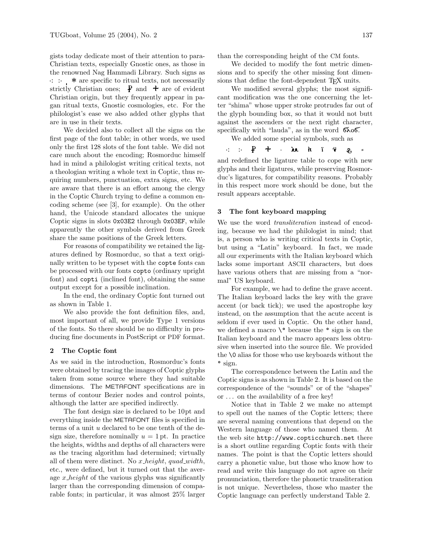gists today dedicate most of their attention to para-Christian texts, especially Gnostic ones, as those in the renowned Nag Hammadi Library. Such signs as : : ∗ ∗ are specific to ritual texts, not necessarily strictly Christian ones;  $\mathbf{\hat{P}}$  and  $\mathbf{\hat{P}}$  are of evident Christian origin, but they frequently appear in pagan ritual texts, Gnostic cosmologies, etc. For the philologist's ease we also added other glyphs that are in use in their texts.

We decided also to collect all the signs on the first page of the font table; in other words, we used only the first 128 slots of the font table. We did not care much about the encoding; Rosmorduc himself had in mind a philologist writing critical texts, not a theologian writing a whole text in Coptic, thus requiring numbers, punctuation, extra signs, etc. We are aware that there is an effort among the clergy in the Coptic Church trying to define a common encoding scheme (see [3], for example). On the other hand, the Unicode standard allocates the unique Coptic signs in slots 0x03E2 through 0x03EF, while apparently the other symbols derived from Greek share the same positions of the Greek letters.

For reasons of compatibility we retained the ligatures defined by Rosmorduc, so that a text originally written to be typeset with the copte fonts can be processed with our fonts copto (ordinary upright font) and copti (inclined font), obtaining the same output except for a possible inclination.

In the end, the ordinary Coptic font turned out as shown in Table 1.

We also provide the font definition files, and, most important of all, we provide Type 1 versions of the fonts. So there should be no difficulty in producing fine documents in PostScript or PDF format.

#### 2 The Coptic font

As we said in the introduction, Rosmorduc's fonts were obtained by tracing the images of Coptic glyphs taken from some source where they had suitable dimensions. The METAFONT specifications are in terms of contour Bezier nodes and control points, although the latter are specified indirectly.

The font design size is declared to be 10pt and everything inside the METAFONT files is specified in terms of a unit u declared to be one tenth of the design size, therefore nominally  $u = 1$  pt. In practice the heights, widths and depths of all characters were as the tracing algorithm had determined; virtually all of them were distinct. No  $x$ -height, quad-width, etc., were defined, but it turned out that the average  $x$ -height of the various glyphs was significantly larger than the corresponding dimension of comparable fonts; in particular, it was almost 25% larger than the corresponding height of the CM fonts.

We decided to modify the font metric dimensions and to specify the other missing font dimensions that define the font-dependent TFX units.

We modified several glyphs; the most significant modification was the one concerning the letter "shima" whose upper stroke protrudes far out of the glyph bounding box, so that it would not butt against the ascenders or the next right character, specifically with "lauda", as in the word  $\delta \infty$ .

We added some special symbols, such as

! " 5 V : > ? 9 v 2 =

and redefined the ligature table to cope with new glyphs and their ligatures, while preserving Rosmorduc's ligatures, for compatibility reasons. Probably in this respect more work should be done, but the result appears acceptable.

#### 3 The font keyboard mapping

We use the word *transliteration* instead of encoding, because we had the philologist in mind; that is, a person who is writing critical texts in Coptic, but using a "Latin" keyboard. In fact, we made all our experiments with the Italian keyboard which lacks some important ASCII characters, but does have various others that are missing from a "normal" US keyboard.

For example, we had to define the grave accent. The Italian keyboard lacks the key with the grave accent (or back tick); we used the apostrophe key instead, on the assumption that the acute accent is seldom if ever used in Coptic. On the other hand, we defined a macro  $\setminus$ <sup>o</sup> because the  $\circ$  sign is on the Italian keyboard and the macro appears less obtrusive when inserted into the source file. We provided the \0 alias for those who use keyboards without the ° sign.

The correspondence between the Latin and the Coptic signs is as shown in Table 2. It is based on the correspondence of the "sounds" or of the "shapes" or . . . on the availability of a free key!

Notice that in Table 2 we make no attempt to spell out the names of the Coptic letters; there are several naming conventions that depend on the Western language of those who named them. At the web site http://www.copticchurch.net there is a short outline regarding Coptic fonts with their names. The point is that the Coptic letters should carry a phonetic value, but those who know how to read and write this language do not agree on their pronunciation, therefore the phonetic transliteration is not unique. Nevertheless, those who master the Coptic language can perfectly understand Table 2.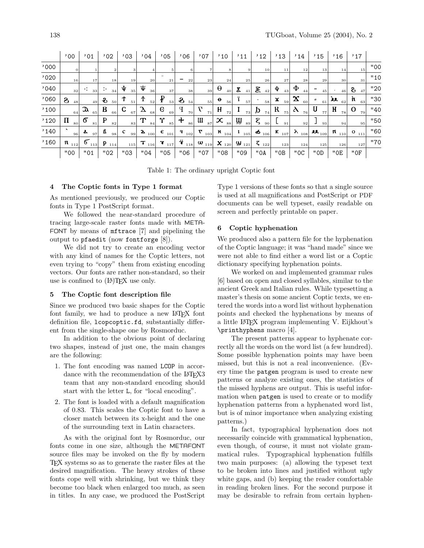|       | ,00                      | '01             | ,02            | '03     | ,04                     | '05               | ,06      | '07                | '10                             | '11      | '12           | '13      | '14                      | '15      | '16         | '17                 |     |
|-------|--------------------------|-----------------|----------------|---------|-------------------------|-------------------|----------|--------------------|---------------------------------|----------|---------------|----------|--------------------------|----------|-------------|---------------------|-----|
| '000' |                          |                 | 2 <sub>1</sub> | 3       |                         |                   | 6        |                    | 8                               |          | 10            | 11       | 12                       | 13       | 14          | 15                  | "00 |
| '020  | 16                       | 17              | 18             | 19      | 20                      | 21                | 22       | 23                 | 24                              | 25       | 26            | 27       | 28                       | 29       | 30          | 31                  | "10 |
| ,040  | 32                       | $\cdot$ :<br>33 | $\ddots$<br>34 | ψ<br>35 | Ψ<br>36                 | 37                | 38       | 39                 | θ<br>40                         | ሬ<br>41  | ξ<br>42       | Φ<br>43  | Φ<br>44                  | 45       | 46          | 8<br>47             | "20 |
| '060  | S<br>48                  | 49              | રુ<br>50       | ተ<br>51 | Ŧ<br>52                 | ₽<br>53           | $2_{54}$ | 55                 | $\boldsymbol{\Theta}$<br>56     | ÷<br>57  | 58            | x<br>59  | $\mathbf{x}$<br>60       | =<br>61  | પ્રેદ<br>62 | ń<br>63             | "30 |
| '100  | 64                       | J<br>65         | B<br>66        | C<br>67 | $\mathbf{\Sigma}$<br>68 | e<br>69           | P<br>70  | ᡣ<br>71            | H<br>72                         | 73       | Þ<br>74       | R<br>75  | $\lambda$<br>76          | U<br>77  | H<br>78     | O<br>79             | "40 |
| '120  | $\boldsymbol{\Pi}$<br>80 | $\sigma$<br>81  | P<br>82        | 83      | ጥ<br>84                 | $\gamma$<br>85    | ╈<br>86  | lll<br>87          | $\boldsymbol{\mathsf{x}}$<br>88 | Щ<br>89  | ξ<br>90       | 91       | 92                       | 93       | 94          | 95                  | "50 |
| '140  | 96                       | ፌ<br>97         | ß<br>98        | с<br>99 | Σ.<br>100               | $\epsilon$<br>101 | q<br>102 | 7<br>103           | ĸ<br>104                        | 105      | ፊ<br>106      | K<br>107 | $+$ $\lambda$ $_{108}$ . | u<br>109 | n<br>110    | $\mathbf{o}$<br>111 | "60 |
| '160  | $\mathbf{R}_{-112}$      | $\sigma$<br>113 | p<br>114       | 115     | $\tau$<br>116           | τ<br>117          | ï<br>118 | $\mathbf{w}_{119}$ | $\pmb{\chi}_{_{120}}$           | ௶<br>121 | $\zeta_{122}$ | 123      | 124                      | 125      | 126         | 127                 | "70 |
|       | "00                      | "01             | "02            | "03     | "04                     | "05               | "06      | "07                | "08                             | "09      | "OA           | "OB      | "OC                      | "OD      | "0E         | "OF                 |     |

Table 1: The ordinary upright Coptic font

#### 4 The Coptic fonts in Type 1 format

As mentioned previously, we produced our Coptic fonts in Type 1 PostScript format.

We followed the near-standard procedure of tracing large-scale raster fonts made with META-FONT by means of mftrace [7] and pipelining the output to pfaedit (now fontforge [8]).

We did not try to create an encoding vector with any kind of names for the Coptic letters, not even trying to "copy" them from existing encoding vectors. Our fonts are rather non-standard, so their use is confined to  $(A)$ T<sub>E</sub>X use only.

## 5 The Coptic font description file

Since we produced two basic shapes for the Coptic font family, we had to produce a new LAT<sub>EX</sub> font definition file, lcopcoptic.fd, substantially different from the single-shape one by Rosmorduc.

In addition to the obvious point of declaring two shapes, instead of just one, the main changes are the following:

- 1. The font encoding was named LCOP in accordance with the recommendation of the LAT<sub>EX3</sub> team that any non-standard encoding should start with the letter L, for "local encoding".
- 2. The font is loaded with a default magnification of 0.83. This scales the Coptic font to have a closer match between its x-height and the one of the surrounding text in Latin characters.

As with the original font by Rosmorduc, our fonts come in one size, although the METAFONT source files may be invoked on the fly by modern TEX systems so as to generate the raster files at the desired magnification. The heavy strokes of these fonts cope well with shrinking, but we think they become too black when enlarged too much, as seen in titles. In any case, we produced the PostScript

Type 1 versions of these fonts so that a single source is used at all magnifications and PostScript or PDF documents can be well typeset, easily readable on screen and perfectly printable on paper.

### 6 Coptic hyphenation

We produced also a pattern file for the hyphenation of the Coptic language; it was "hand made" since we were not able to find either a word list or a Coptic dictionary specifying hyphenation points.

We worked on and implemented grammar rules [6] based on open and closed syllables, similar to the ancient Greek and Italian rules. While typesetting a master's thesis on some ancient Coptic texts, we entered the words into a word list without hyphenation points and checked the hyphenations by means of a little LATEX program implementing V. Eijkhout's \printhyphens macro [4].

The present patterns appear to hyphenate correctly all the words on the word list (a few hundred). Some possible hyphenation points may have been missed, but this is not a real inconvenience. (Every time the patgen program is used to create new patterns or analyze existing ones, the statistics of the missed hyphens are output. This is useful information when patgen is used to create or to modify hyphenation patterns from a hyphenated word list, but is of minor importance when analyzing existing patterns.)

In fact, typographical hyphenation does not necessarily coincide with grammatical hyphenation, even though, of course, it must not violate grammatical rules. Typographical hyphenation fulfills two main purposes: (a) allowing the typeset text to be broken into lines and justified without ugly white gaps, and (b) keeping the reader comfortable in reading broken lines. For the second purpose it may be desirable to refrain from certain hyphen-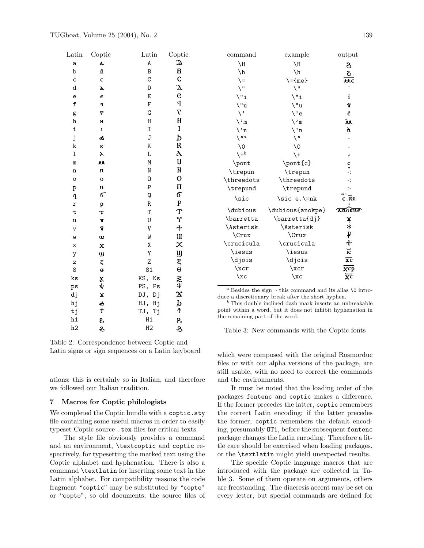| Latin        | Coptic                       | Latin          | Coptic                   |
|--------------|------------------------------|----------------|--------------------------|
| a            | ፌ                            | A              | $\mathfrak{D}$           |
| b            | ß                            | B              | $\bf{B}$                 |
| C            | $\mathbf c$                  | C              | $\mathbf C$              |
| d            | Δ                            | D              | $\mathbf{\Sigma}$        |
| e            | $\epsilon$                   | E              | $\mathbf{e}$             |
| f            | þ                            | F              | $\mathbf P$              |
| g            | 7                            | G              | $\overline{\mathcal{L}}$ |
| h            | H                            | H              | $\mathbf H$              |
| i            | I                            | I              | I                        |
| j            | ፊ                            | J              | Þ                        |
| k            | K                            | K              | R                        |
| l            | λ                            | L              | $\lambda$                |
| $\mathbf m$  | u                            | M              | U                        |
| n            | N                            | N              | H                        |
| $\circ$      | $\mathbf{o}$                 | 0              | $\mathbf 0$              |
| p            | $\mathbf{u}$                 | P              | $\mathbf \Pi$            |
| q            | $\sigma$                     | Q              | $\sigma$                 |
| r            | p                            | R              | $\mathbf{P}$             |
| $\mathsf{t}$ | $\tau$                       | T              | T                        |
| u            | $\mathbf{\hat{r}}$           | U              | Y                        |
| $\mathbf v$  | ï                            | V              | $\ddot{\phantom{1}}$     |
| W            | $\omega$                     | W              | W                        |
| X            | X                            | χ              | $\infty$                 |
| y            | ௶                            | Y              | W                        |
| z            | ζ                            | Z              | $\frac{8}{9}$            |
| 8            | $\ddot{\boldsymbol{\theta}}$ | 81             |                          |
| ks           | Σ                            | KS,<br>Ks      | ξ                        |
| ps           | ψ                            | PS,<br>Ps      | Ψ                        |
| dj           | $\mathbf x$                  | DJ,<br>Dj      | $\mathbf{x}$             |
| hj           | ፊ                            | HJ,<br>Hj      | þ                        |
| tj           | $\ddagger$                   | TJ,<br>Тj      | $\overline{\mathbf{f}}$  |
| h1           | 8                            | H1             | S                        |
| h2           | ૱                            | H <sub>2</sub> | S,                       |

Table 2: Correspondence between Coptic and Latin signs or sign sequences on a Latin keyboard

ations; this is certainly so in Italian, and therefore we followed our Italian tradition.

# 7 Macros for Coptic philologists

We completed the Coptic bundle with a coptic.sty file containing some useful macros in order to easily typeset Coptic source .tex files for critical texts.

The style file obviously provides a command and an environment, \textcoptic and coptic respectively, for typesetting the marked text using the Coptic alphabet and hyphenation. There is also a command \textlatin for inserting some text in the Latin alphabet. For compatibility reasons the code fragment "coptic" may be substituted by "copte" or "copto", so old documents, the source files of

| command                | example                | output                               |
|------------------------|------------------------|--------------------------------------|
| $\setminus H$          | ١H                     | S                                    |
| \h                     | \h                     | S                                    |
| $\setminus$            | $\{-{\text{me}}\}$     | ue                                   |
| $\sqrt{2}$             | $\sqrt{2}$             |                                      |
| $\mathcal{N}$ 'i       | $\vee$ "i              | ï                                    |
| \"u                    | \"u                    | ï                                    |
| $\setminus$            | ∖'e                    | è                                    |
| $\mathcal{N}$          | \'m                    | પ્ર                                  |
| $\setminus$ 'n         | $\setminus$ 'n         | ń                                    |
| $\setminus$ o $^a$     | ە \                    |                                      |
| $\setminus 0$          | $\setminus 0$          |                                      |
| $\lambda^{+b}$         | $\backslash +$         | ≤                                    |
| \pont                  | \pont{c}               | $\ddot{\bm{c}}$                      |
| \trepun                | \trepun                | $\ddot{\cdot}$                       |
| \threedots             | \threedots             | ÷.                                   |
| \trepund               | \trepund               | $\ddot{\phantom{0}}$                 |
| \sic                   | \sic e.\=nk            | sic<br>e.nk                          |
| \dubious               | \dubious{anokpe}       | <b>ZHOKHE</b>                        |
| \barretta              | \barretta{dj}          | ¥                                    |
| <i><b>Asterisk</b></i> | <i><b>Asterisk</b></i> | $\ast$                               |
| \Crux                  | \Crux                  | ₽                                    |
| \crucicula             | \crucicula             | $\ddot{\text{}}$                     |
| \iesus                 | \iesus                 | $\overline{\mathsf{ic}}$             |
| \djois                 | \djois                 | $\overline{\textbf{x}}$ c            |
| $\chi$ cr              | $\chi$ cr              | $\overline{\text{XCP}}$              |
| $\chi c$               | $\chi c$               | $\overline{\textsf{x}^{\textsf{c}}}$ |

 $a$  Besides the sign  $\cdot$  this command and its alias \0 introduce a discretionary break after the short hyphen.

 $<sup>b</sup>$  This double inclined dash mark inserts an unbreakable</sup> point within a word, but it does not inhibit hyphenation in the remaining part of the word.

Table 3: New commands with the Coptic fonts

which were composed with the original Rosmorduc files or with our alpha versions of the package, are still usable, with no need to correct the commands and the environments.

It must be noted that the loading order of the packages fontenc and coptic makes a difference. If the former precedes the latter, coptic remembers the correct Latin encoding; if the latter precedes the former, coptic remembers the default encoding, presumably OT1, before the subsequent fontenc package changes the Latin encoding. Therefore a little care should be exercised when loading packages, or the \textlatin might yield unexpected results.

The specific Coptic language macros that are introduced with the package are collected in Table 3. Some of them operate on arguments, others are freestanding. The diaeresis accent may be set on every letter, but special commands are defined for